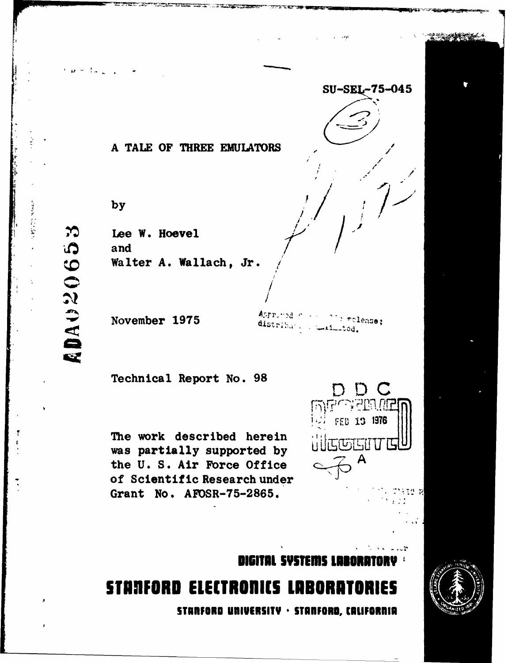**SU-SEL-75-045** 

 $15\%$ 

### **A TALE OF THREE EMULATORS**

D **/** f

.<br>.

**by**

 $u = 1 + 1$ 

**Lee W.** Hoevel and

November 1975<sup>4pproved</sup> <sup>Approved</sup> 1975

The work described herein **supported** to a set of **EE EEP** was partially supported by the **U. S. Air Force Office -** of Scientific Research under Grant No. **AFOSR-75-2865.**



**I161TIL SYSTEMS LUINETORY**

# **STANFORD ELECTRONICS LABORATORIES STANFORD UNIVERSITY · STANFORD, CALIFORNIA**

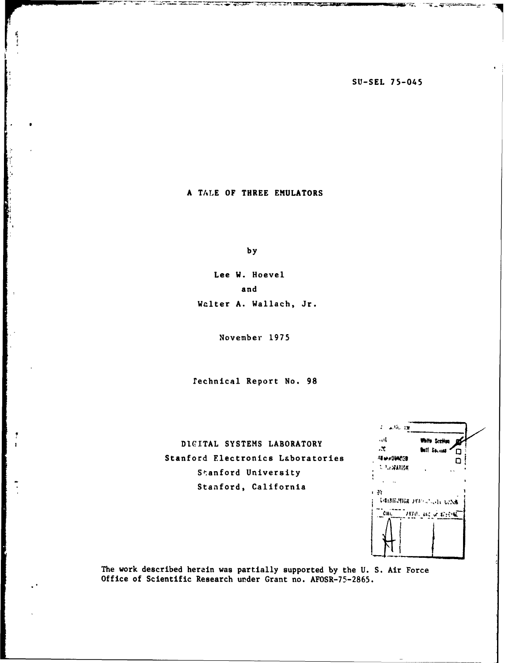**SO-SEL** 75-045

**TELERICHISCHE** 

**A TALE** OF THREE **EMULATORS**

エエジス

**, W** 

i.

**by**

Lee W. Hoevel and Walter **A.** Wallach, Jr.

November 1975

Technical Report No. **98**

**DICITAL SYSTEMS** LABORATORY **<sup>h</sup>** Stanford Electronics Laboratories Stanford University Stanford, California

| .                        |                                   |  |
|--------------------------|-----------------------------------|--|
| - 11                     | White Scribes                     |  |
| 7.,                      | <b>Butt</b> Sacres<br>◘           |  |
| <b>MINADIACO</b>         | ם                                 |  |
| <b>A PULLWARTON</b><br>× |                                   |  |
|                          |                                   |  |
|                          |                                   |  |
| Jγ<br>ï                  |                                   |  |
|                          | <b>DAIREMICK JEST COULD LOSSE</b> |  |
| Citt.                    | 开出 試 近后的尾                         |  |
|                          |                                   |  |
|                          |                                   |  |
|                          |                                   |  |
|                          |                                   |  |
|                          |                                   |  |

The work described herein was partially supported **by** the **U. S.** Air Force Office of Scientific Research under Grant no. **AFOSR-75-2865.**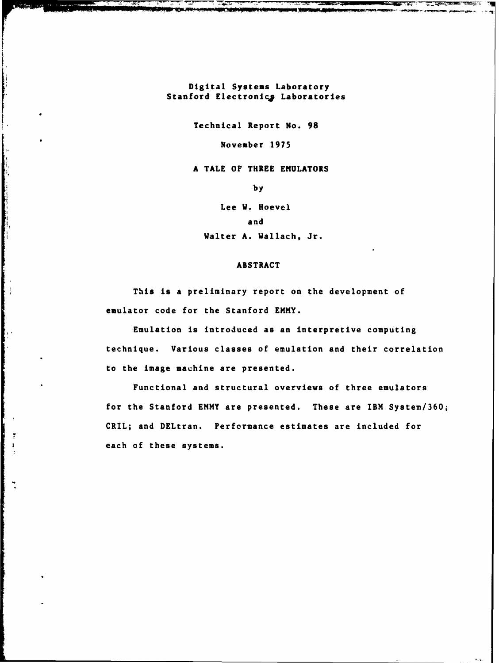Digital Systems Laboratory Stanford Electronics Laboratories

Technical Report No. **98**

November **1975**

**A TALE** OF THREE **EMULATORS**

**by**

Lee W. Hoevel and Walter **A.** Wallach, Jr.

#### ABSTRACT

This is **a** preliminary report on the development of emulator code for the Stanford ENMY.

Emulation is introduced as an interpretive computing technique. Various classes of emulation and their correlation to the image machine are presented.

Functional and structural overviews of three emulators for the Stanford EMMY are presented. These are IBM System/360; CRIL; and DELtran. Performance estimates are included for each of these systems.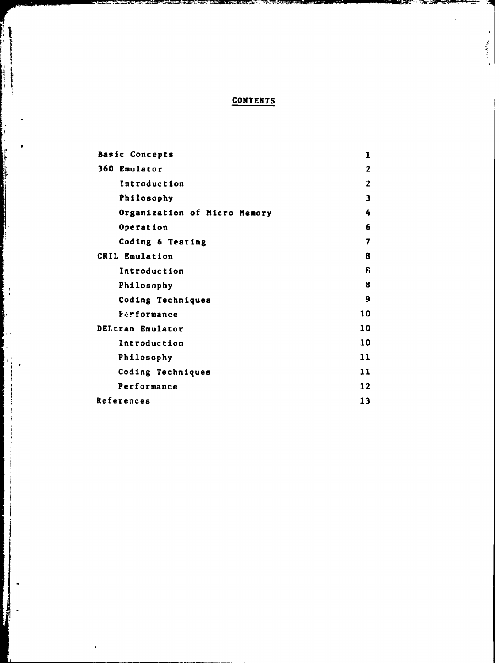## **CONTENTS**

 $\mathfrak{p}$  $\begin{aligned} \mathcal{L}_{\mathcal{A}}(\mathcal{A},\mathcal{A},\mathcal{A})=0\end{aligned}$ 

carnet success the Gallery

ļ **The Model of Street in Section** 

1,

 $\frac{1}{2}$ 

| <b>Basic Concepts</b>        | 1  |
|------------------------------|----|
| 360 Emulator                 | 2  |
| Introduction                 | 2  |
| Philosophy                   | 3  |
| Organization of Micro Memory | 4  |
| Operation                    | 6  |
| Coding & Testing             | 7  |
| CRIL Emulation               | 8  |
| Introduction                 | £. |
| Philosophy                   | 8  |
| Coding Techniques            | 9  |
| Performance                  | 10 |
| DELtran Emulator             | 10 |
| Introduction                 | 10 |
| Philosophy                   | 11 |
| Coding Techniques            | 11 |
| Performance                  | 12 |
| References                   | 13 |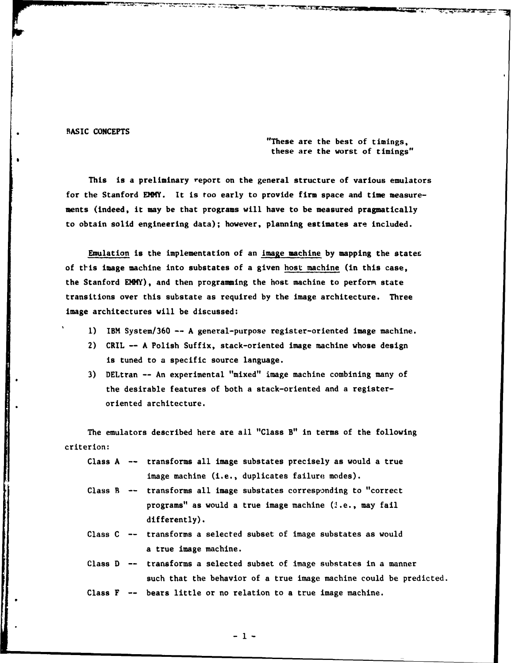#### **BASIC CONCEPTS**

"These are the best of timings, these are the worst of timings"

**THE TELESCOPE** 

This is a preliminary report on the general structure of various emulators for the Stanford EMMY. It is too early to provide firm space and time measurements (indeed, it may be that programs will have to be measured pragmatically to obtain solid engineering data); however, planning estimates are included.

Emulation is the implementation of an image machine **by** mapping the states of ttis image machine into substates of a given host machine (in this case, the Stanford EMMY), and then programming the host machine to perform state transitions over this substate as required **by** the image architecture. Three image architectures will be discussed:

- **1)** IBM System/360 **--** A general-purpose register-oriented image machine.
- 2) CRIL **-- A** Polish Suffix, stack-oriented image machine whose design is tuned to a specific source language.
- **3)** DELtran **--** An experimental "mixed" image machine combining many of the desirable features of both a stack-oriented and a registeroriented architecture.

The emulators described here are all "Class B" in terms of the following criterion:

- Class A -- transforms all image substates precisely as would a true image machine (i.e., duplicates failure modes).
- Class B -- transforms all image substates corresponding to "correct programs" as would a true image machine (i.e., may fail differently).
- Class **C** -- transforms a selected subset of image substates as would a true image machine.
- Class D -- transforms a selected subset of image substates in a manner such that the behavior of a true image machine could be predicted.

Class F -- bears little or no relation to a true image machine.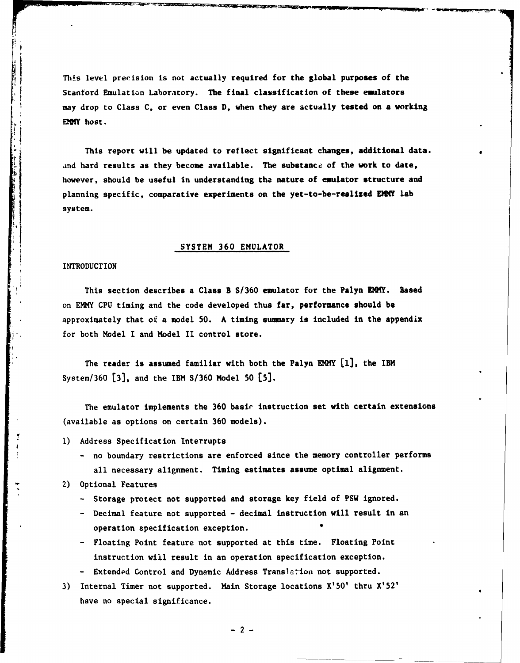This level precision is not actually required for the global purposes of the Stanford Emulation Laboratory. The final classification of these emulators may drop to Class **C,** or even Class **D,** when they are actually tested on a working **EMMY** host.

This report will be updated to reflect significant changes, additional data. and hard results as they become available. The substance of the work to date, however, should be useful in understanding **the** nature of emulator structure and planning specific, comparative experiments on the yet-to-be-realized EMPY lab system.

#### SYSTEM **360** EMULATOR

#### INTRODUCTION

This section describes a Class B **S/360** emulator for the Palyn **EIMY.** Based on EMlY **CPU** timing and the code developed thus far, performance should be approximately that of a model **50.** A timing **summary** is included in the appendix for both Model I and Model II control store.

The reader is assumed familiar with both the Palyn EMMY **[1],** the IBM System/360 **[31,** and the IBM **S/360** Model **50 [5].**

The emulator implements the **360** basic instruction set with certain extensions (available as options on certain **360** models).

- **1)** Address Specification Interrupts
	- no boundary restrictions are enforced since the memory controller performs all necessary alignment. Timing estimates assume optimal alignment.
- 2) Optional Features
	- **-** Storage protect not supported and storage key field of PSW ignored.
	- **-** Decimal feature not supported **-** decimal instruction will result in an operation specification exception. **0**
	- **-** Floating Point feature not supported at this time. Floating Point instruction will result in an operation specification exception.
	- **-** Extended Control and Dynamic Address Trans1:ion not supported.
- **3)** Internal Timer not supported. Main Storage locations X'50' thru X'52' have no special significance.

**-2-**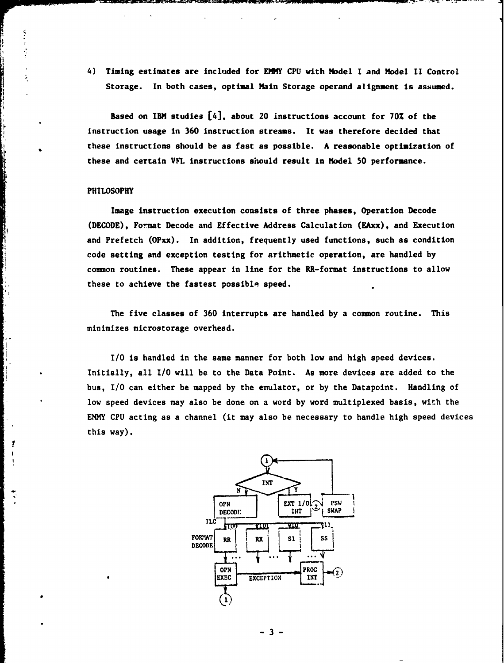4) Timing estimates are included for EMMY **CPU** with Model **I** and Model **II** Control Storage. In both cases, optimal Main Storage operand alignment is assumed.

Based on IBM studies [4], about 20 instructions account for **70%** of the instruction usage in **360** instruction streams. It was therefore decided that these instructions should be as fast as possible. **A** reasonable optimization of these and certain **V** instructions should result in Model **50** performance.

#### PHILOSOPHY

Ϊ.

Image instruction execution consists of three phases, Operation Decode **(DECODE),** Format Decode and Effective Address Calculation (EAxx), and Execution and Prefetch (OPxx). In addition, frequently used functions, such as condition code setting and exception testing for arithmetic operation, are handled **by** common routines. These appear in line for the RR-format instructions to allow these to achieve the fastest possible speed.

The five classes of **360** interrupts are handled **by** a comnon routine. This minimizes microstorage overhead.

**I/0** is handled in the same manner for both low and high speed devices. Initially, all **I/0** will be to the Data Point. As more devices are added to the bus, **I/O** can either be mapped **by** the emulator, or **by** the Datapoint. Handling of low speed devices may also be done on a word **by** word multiplexed basis, with the EMMY **CPU** acting as a channel (it may also be necessary to handle high speed devices this way).



**-3-**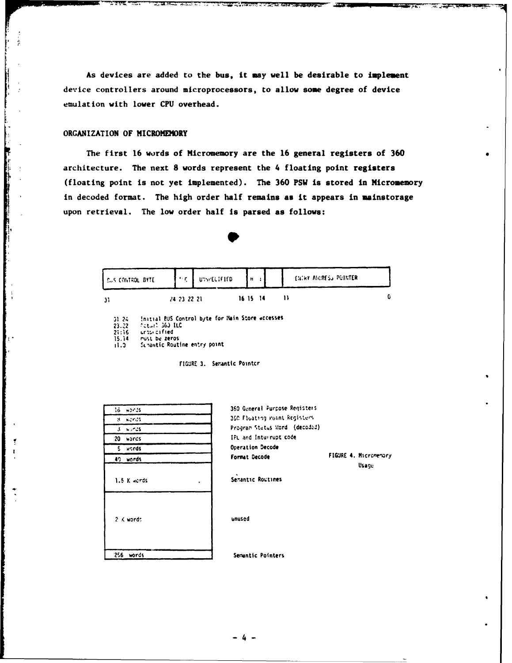As devices are added to the bus, it may well be desirable to implement device controllers around microprocessors, to allow some degree of device emulation with lower CPU overhead.

**Report Follows** 

#### ORGANIZATION OF MICROMEMORY

The first 16 words of Micromemory are the 16 general registers of 360 architecture. The next 8 words represent the 4 floating point registers (floating point is not yet implemented). The 360 PSW is stored in Micromemory in decoded format. The high order half remains as it appears in mainstorage upon retrieval. The low order half is parsed as follows:



| CUS CONTROL BYTE |             | <b>THE UISPECIFIED</b> | l H      |  | <b>ENTRY ANDRESS POINTER</b> |  |
|------------------|-------------|------------------------|----------|--|------------------------------|--|
|                  | 24 23 22 21 |                        | 16 15 14 |  |                              |  |

Initial BUS Control byte for Hain Store accesses

Potant 363 ILC unto cafied

must be zeros

Schantic Routine entry point  $0.11$ 

FIGURE 3. Semantic Pointcr

| lő words                      | 360 General Purpose Registers                   |
|-------------------------------|-------------------------------------------------|
| 8. wonds                      | 360 Floating Point Registers                    |
| $3 - w \times 35$             | Program Status Word (decoded)                   |
| 20 words                      | IPL and Inturrupt code                          |
| s.<br>words                   | Operation Decode                                |
| 40 words                      | FIGURE 4. Micromemory<br>Format Decode<br>Usage |
| 1.5 K words<br>$\blacksquare$ | Semantic Routines                               |
| $2 \times$ words              | unused                                          |
| 256 unede                     | <b>Consetir Pointars</b>                        |

 $4 -$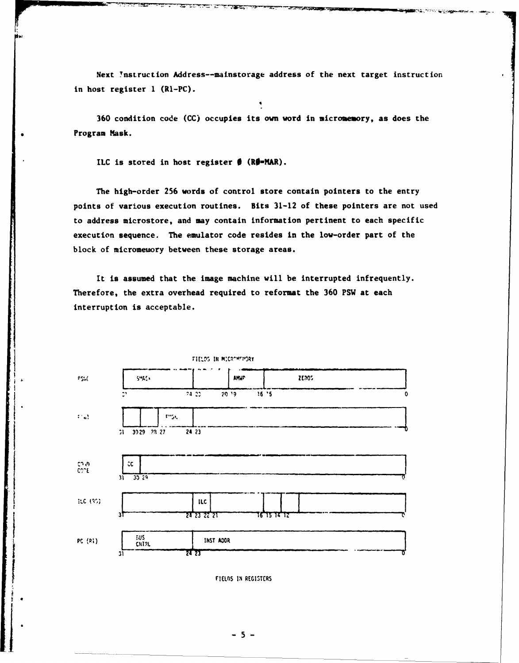Next Instruction Address--mainstorage address of the next target instruction in host register 1 (R1-PC).

تخصيص

A CANADA ANG PANGANA

**DESCRIPTION** 

*<u> Alexandria Controller (1999)</u>* 

360 condition code (CC) occupies its own word in micromemory, as does the Program Mask.

ILC is stored in host register  $\oint$  (R $\oint$ =MAR).

<u>o agreeme</u>

ದ ಪ

<u>تكھشتہ</u>

The high-order 256 words of control store contain pointers to the entry points of various execution routines. Bits 31-12 of these pointers are not used to address microstore, and may contain information pertinent to each specific execution sequence. The emulator code resides in the low-order part of the block of micromewory between these storage areas.

It is assumed that the image machine will be interrupted infrequently. Therefore, the extra overhead required to reformat the 360 PSW at each interruption is acceptable.



FIELDS IN MICROMEMORY

FIELDS IN REGISTERS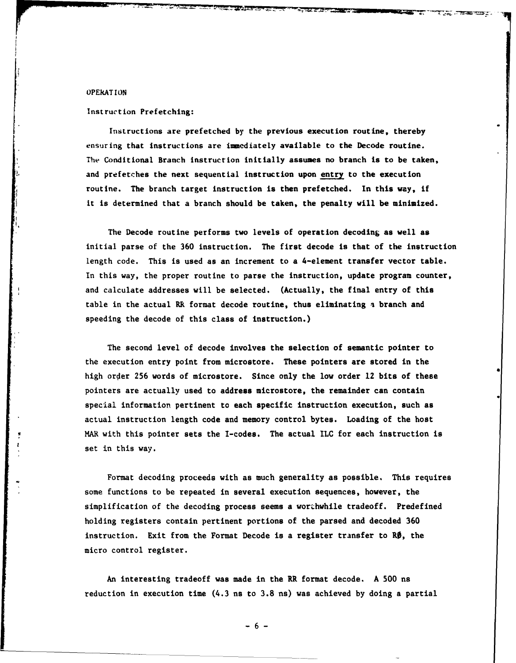#### OPEkATION

#### Instruction Prefetching:

Instructions are prefetched **by** the previous execution routine, thereby ensuring that instructions are immediately available to the Decode routine. **The** Conditional Branch instruction initially assumes no branch is to be taken, and prefetches the next sequential instruction upon entry to the execution routine. The branch target instruction is then prefetched. In this way, if it is determined that a branch should be taken, the penalty will be minimized.

**Bandary Corp.** 

The Decode routine performs two levels of operation decoding as well as initial parse of the **360** instruction. The first decode is that of the instruction length code. This is used as an increment to a 4-element transfer vector table. In this way, the proper routine to parse the instruction, update program counter, and calculate addresses will be selected. (Actually, the final entry of this table in the actual RR format decode routine, thus eliminating **a** branch and speeding the decode of this class of instruction.)

The second level of decode involves the selection of semantic pointer to the execution entry point from microstore. These pointers are stored in the high order 256 words of microstore. Since only the low order 12 bits of these pointers are actually used to address microstore, the remainder can contain special information pertinent to each specific instruction execution, such as actual instruction length code and memory control bytes. Loading of the host MAR with this pointer sets the I-codes. The actual ILC for each instruction is set in this way.

Format decoding proceeds with as much generality as possible. This requires some functions to be repeated in several execution sequences, however, the simplification of the decoding process seems a worthwhile tradeoff. Predefined holding registers contain pertinent portions of the parsed and decoded **360** instruction. Exit from the Format Decode is a register transfer to  $R\emptyset$ , the micro control register.

An interesting tradeoff was made in the RR format decode. A **500** ns reduction in execution time (4.3 **ns** to **3.8** ns) was achieved **by** doing a partial

**-6-**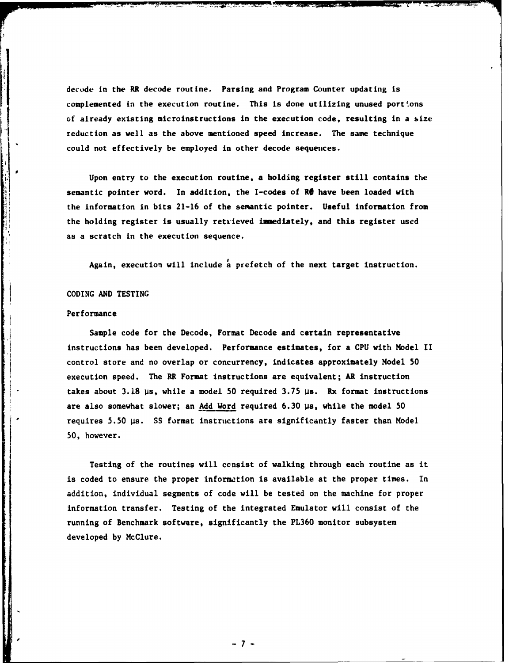decode in the RR decode routine. Parsing and Program Counter updating is complemented in the execution routine. This is done utilizing unused portions of already existing microinstructions in the execution code, resulting in a size reduction as well as the above mentioned speed increase. The same technique could not effectively be employed in other decode sequences.

Upon entry to the execution routine, a holding register still contains the semantic pointer word. In addition, the I-codes of RØ have been loaded with the information in bits **21-16** of the semantic pointer. Useful information from the holding register is usually retrieved imnediately, and this register used as a scratch in the execution sequence.

Again, execution will include a prefetch of the next target instruction.

#### **CODING AND TESTING**

#### Performance

Sample code for the Decode, Format Decode and certain representative instructions has been developed. Performance estimates, for a **CPU** with Model II control store and no overlap or concurrency, indicates approximately Model **50** execution speed. The RR Format instructions are equivalent; AR instruction takes about **3.18** us, while a model **50** required 3.75 us. Rx format instructions are also somewhat slower; an **Add** Word required **6.30** us, while the model **50** requires **5.50** us. **SS** format instructions are significantly faster than Model **50,** however.

Testing of the routines will consist of walking through each routine as it is coded to ensure the proper information is available at the proper times. In addition, individual segments of code will be tested on the machine for proper information transfer. Testing of the integrated Emulator will consist of the running of Benchmark software, significantly the **PL360** monitor subsystem developed **by** McClure.

**-7-**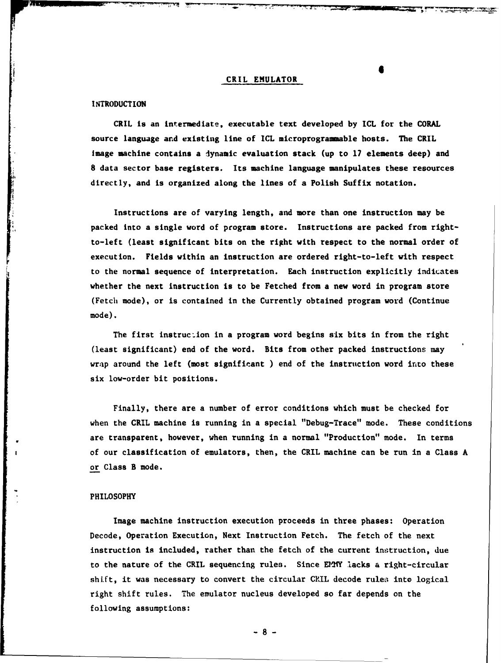#### CRIL EMULATOR

#### **INTRODUCTION**

CRIL is an intermediate, executable text developed **by ICL** for the CORAL source language and existing line of **ICL** microprogrammable hosts. The CRIL Image machine contains a dynamic evaluation stack (up to **17** elements deep) and **8** data sector base registers. Its machine language manipulates these resources directly, and is organized along the lines of a Polish Suffix notation.

Instructions are of varying length, and more than one instruction may be packed into a single word of program store. Instructions are packed from rightto-left (least significant bits on the right with respect to the normal order of execution. Fields within an instruction are ordered right-to-left with respect to the normal sequence of interpretation. Each instruction explicitly indicates whether the next instruction is to be Fetched from a new word in program store (Fetch mode), or is contained in the Currently obtained program word (Continue mode).

The first instruction in a program word begins six bits in from the right (least significant) end of the word. Bits from other packed instructions may wrap around the left (most significant ) end of the instruction word into these six low-order bit positions.

Finally, there are a number of error conditions which must be checked for when the CRIL machine is running in a special "Debug-Trace" mode. These conditions are transparent, however, when running in a normal "Production" mode. In terms of our classification of emulators, then, the CRIL machine can be run in a Class **A** or Class B mode.

#### PHILOSOPHY

Image machine instruction execution proceeds in three phases: Operation Decode, Operation Execution, Next Instruction Fetch. The fetch of the next instruction is included, rather than the fetch of the current instruction, due to the nature of the CRIL sequencing rules. Since EPIY lacks a right-circular shift, it was necessary to convert the circular CRIL decode rules into logical right shift rules. The emulator nucleus developed so far depends on the following assumptions:

**-8-**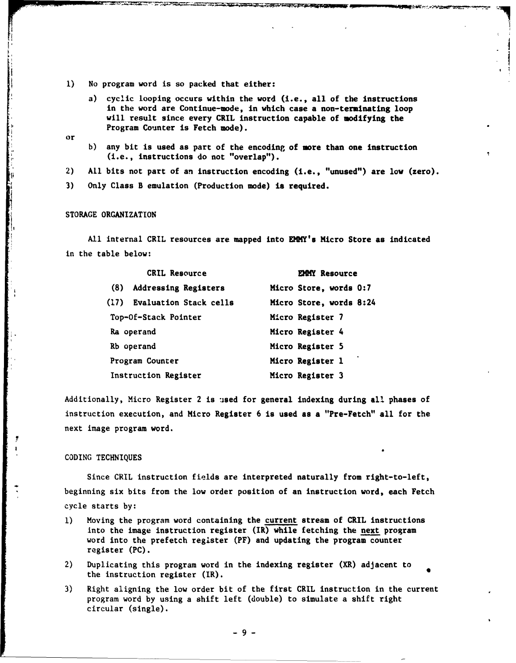- **1)** No program word is so packed that either:
	- a) cyclic looping occurs within the word (i.e., all of the instructions in the word are Continue-mode, in which case a non-terminating loop will result since every CRIL instruction capable of modifying the Program Counter is Fetch mode).
- or
- b) any bit is used as part of the encoding of more than one instruction (i.e., instructions do not "overlap").

2) All bits not part of an instruction encoding (i.e., "unused") are low (zero).

**3)** Only Class B emulation (Production mode) is required.

#### STORAGE ORGANIZATION

All internal CRIL resources are mapped into EMMY's Micro Store as indicated in the table below:

| <b>CRIL Resource</b>               | EMMY Resource           |  |  |
|------------------------------------|-------------------------|--|--|
| (8)<br><b>Addressing Registers</b> | Micro Store, words 0:7  |  |  |
| (17) Evaluation Stack cells        | Micro Store, words 8:24 |  |  |
| Top-Of-Stack Pointer               | Micro Register 7        |  |  |
| Ra operand                         | Micro Register 4        |  |  |
| Rb operand                         | Micro Register 5        |  |  |
| Program Counter                    | Micro Register 1        |  |  |
| Instruction Register               | Micro Register 3        |  |  |

Additionally, Micro Register 2 is used for general indexing during all phases of instruction execution, and Micro Register 6 is used as a "Pre-Fetch" all for the next image program word.

#### CODING TECHNIQUES

Since CRIL instruction fields are interpreted naturally from right-to-left, beginning six bits from the low order position of an instruction word, each Fetch cycle starts by:

- **1)** Moving the program word containing the current stream of CRIL instructions into the image instruction register (IR) while fetching the next program word into the prefetch register (PF) and updating the program counter register **(PC).**
- 2) Duplicating this program word in the indexing register (XR) adjacent to the instruction register (IR).
- **3)** Right aligning the low order bit of the first CRIL instruction in the current program word by using a shift left (double) to simulate a shift right circular (single).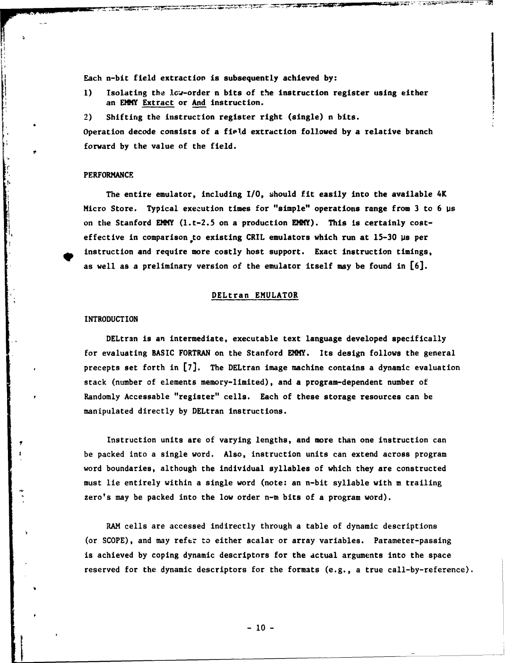Each n-bit field extraction is subsequently achieved **by:**

- **1)** Isolating the low-order n bits of the instruction register using either an EMY Extract or And instruction.
- 2) Shifting the instruction register right (single) n bits.

Operation decode consists of a field extraction followed **by** a relative branch forward **by** the value of the field.

#### **PERFORMANCE**

The entire emulator, including **I/0,** should fit easily into the available 4K Micro Store. Typical execution times for "simple" operations range from **3** to 6 ps on the Stanford EMMY  $(1.t-2.5 \text{ on a production EMM}^2)$ . This is certainly costeffective in comparison **to** existing CRIL emulators which run at **15-30** ps per instruction and require more costly host support. Exact instruction timings, as well as a preliminary version of the emulator itself may be found in **[6].**

#### DELtran EMULATOR

#### **INTRODUCTION**

DELtran is an intermediate, executable text language developed specifically for evaluating BASIC FORTRAN on the Stanford EMY. Its design follows the general precepts set forth in **[7].** The DELtran image machine contains a dynamic evaluation stack (number of elements memory-limited), and a program-dependent number of Randomly Accessable "register" cells. Each of these storage resources can be manipulated directly by DELtran instructions.

Instruction units are of varying lengths, and more than one instruction can be packed into a single word. Also, instruction units can extend across program word boundaries, although the individual syllables of which they are constructed must lie entirely within a single word (note: an n-bit syllable with m trailing zero's may be packed into the low order n-m bits of a program word).

RAM cells are accessed indirectly through a table of dynamic descriptions (or SCOPE), and may refer **to** either scalar or array variables. Parameter-passing is achieved by coping dynamic descriptors for the actual arguments into the space reserved for the dynamic descriptors for the formats (e.g., a true call-by-reference).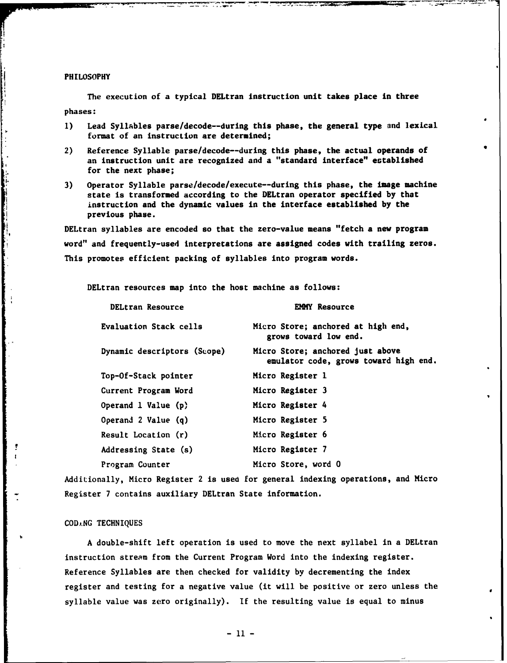#### PHILOSOPHY

The execution of a typical DELtran instruction unit takes place in three phases:

- **1)** Lead Syllables parse/decode--during this phase, the general type and lexical format of an instruction are determined;
- 2) Reference Syllable parse/decode--during this phase, the actual operands of an instruction unit are recognized and a "standard interface" established for the next phase;
- **3)** Operator Syllable parse/decode/execute--during this phase, the image machine state is transformed according to the DELtran operator specified **by** that instruction and the dynamic values in the interface established **by** the previous phase.

DELtran syllables are encoded so that the zero-value means "fetch a new program word" and frequently-used interpretations are assigned codes with trailing zeros. This promotes efficient packing of syllables into program words.

DELtran resources map into the host machine as follows:

| DELtran Resource            | <b>EMMY Resource</b>                                                      |
|-----------------------------|---------------------------------------------------------------------------|
| Evaluation Stack cells      | Micro Store; anchored at high end,<br>grows toward low end.               |
| Dynamic descriptors (Scope) | Micro Store; anchored just above<br>emulator code, grows toward high end. |
| Top-Of-Stack pointer        | Micro Register 1                                                          |
| Current Program Word        | Micro Register 3                                                          |
| Operand 1 Value (p)         | Micro Register 4                                                          |
| Operand 2 Value (q)         | Micro Register 5                                                          |
| Result Location (r)         | Micro Register 6                                                          |
| Addressing State (s)        | Micro Register 7                                                          |
| Program Counter             | Micro Store, word 0                                                       |

Additionally, Micro Register 2 is used for general indexing operations, and Micro Register **7** contains auxiliary DELtran State information.

**COD,.NG TECHNIQUES**

**A** double-shift left operation is used to move the next syllabel in a DELtran instruction stream from the Current Program Word into the indexing register. Reference Syllables are then checked for validity **by** decrementing the index register and testing for a negative value (it will be positive or zero unless the syllable value was zero originally). **If** the resulting value is equal to minus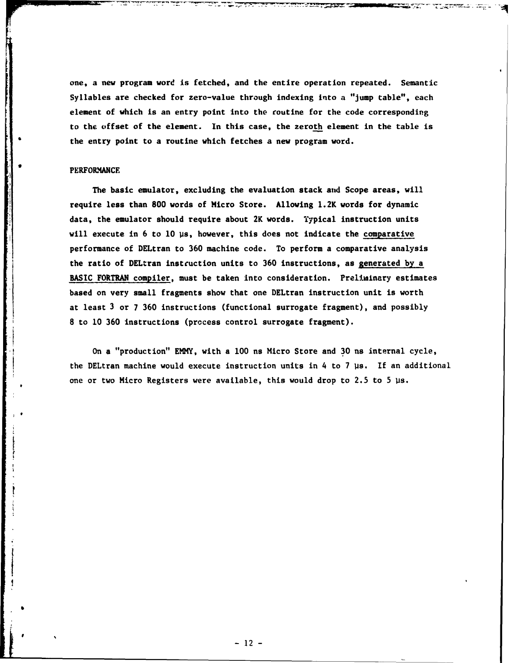one, a new program word is fetched, and the entire operation repeated. Semantic Syllables are checked for zero-value through indexing into a "jump table", each element of which is an entry point into the coutine for the code corresponding to the **offset of** the element. In this case, the zeroth element in the table is the entry point to a routine which fetches a new program word.

#### PERFORMANCE

The basic emulator, excluding the evaluation stack **and** Scope areas, will require less than **800** words of Micro Store. Allowing 1.2K words for dynamic data, the emulator should require about 2K words. Typical instruction units will execute in 6 to 10 µs, however, this does not indicate the comparative performance of DELtran to **360** machine code. To perform a comparative analysis the ratio of DELtran instcuction units to **360** instructions, as generated **by** a **BASIC** FORTRAN compiler, must be taken into consideration. Preliminary estimates based on very small fragments show that one DELtran instruction unit is worth at least **3** or **7 360** instructions (functional surrogate fragment), and possibly **8** to **10 360** instructions (process control surrogate fragment).

On a "production" EMMY, with a **100** ns Micro Store and **30** ns internal cycle, the DELtran machine would execute instruction units in 4 to 7 µs. If an additional one or two Micro Registers were available, this would drop to **2.5** to **5** us.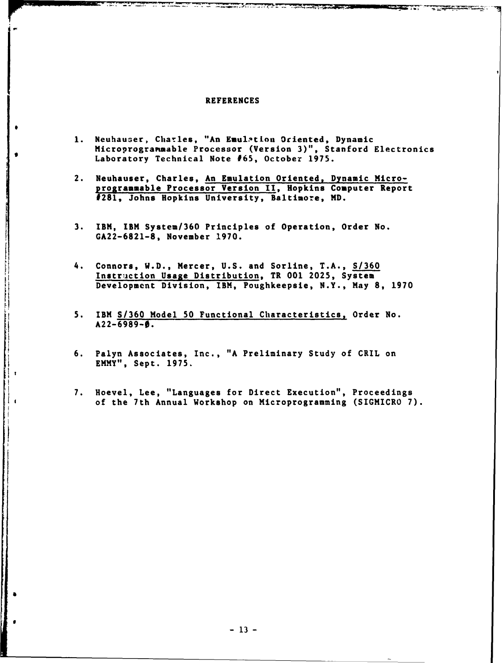#### **REFERENCES**

- 1. Neuhauser, Charles, "An Emulation Oriented, Dynamic Microprogratmable Processor (Version **3)",** Stanford Electronics Laboratory Technical Note **#65,** October **1975.**
- 2. Neuhauser, Charles, An Emulation Oriented, Dynamic Microprogrammable Processor Version **II,** Hopkins Computer Report #281, Johns Hopkins University, Baltimore, MD.
- **3.** IBM, IBM System/360 Principles of Operation, Order No. **GA22-6821-8,** November **1970.**
- 4. Connors, W.D., Mercer, **U.S.** and Sorline, **T.A., S/360** Instruction Usage Distribution, TR **001 2025,** System Development Division, IBM, Poughkeepsie, N.Y., May **8, 1970**
- **5.** IBM **S/360** Model **50** Functional Characteristics, Order No. **A22-6989-0.**
- **6.** Palyn Associates, Inc., **"A** Preliminary Study of CRIL on EMMY", Sept. **1975.**
- **7.** Hoevel, Lee, "Languages for Direct Execution", Proceedings of the 7th Annual Workshop on Microprogramming (SIGMICRO **7).**